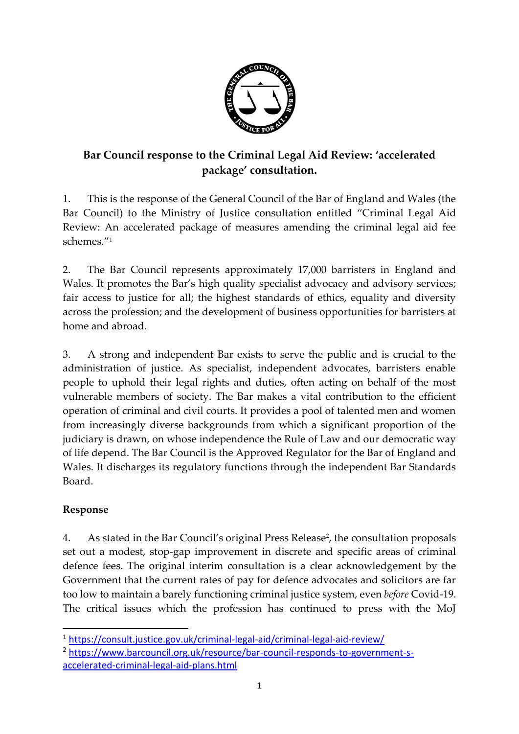

# **Bar Council response to the Criminal Legal Aid Review: 'accelerated package' consultation.**

1. This is the response of the General Council of the Bar of England and Wales (the Bar Council) to the Ministry of Justice consultation entitled "Criminal Legal Aid Review: An accelerated package of measures amending the criminal legal aid fee schemes." 1

2. The Bar Council represents approximately 17,000 barristers in England and Wales. It promotes the Bar's high quality specialist advocacy and advisory services; fair access to justice for all; the highest standards of ethics, equality and diversity across the profession; and the development of business opportunities for barristers at home and abroad.

3. A strong and independent Bar exists to serve the public and is crucial to the administration of justice. As specialist, independent advocates, barristers enable people to uphold their legal rights and duties, often acting on behalf of the most vulnerable members of society. The Bar makes a vital contribution to the efficient operation of criminal and civil courts. It provides a pool of talented men and women from increasingly diverse backgrounds from which a significant proportion of the judiciary is drawn, on whose independence the Rule of Law and our democratic way of life depend. The Bar Council is the Approved Regulator for the Bar of England and Wales. It discharges its regulatory functions through the independent Bar Standards Board.

## **Response**

4. As stated in the Bar Council's original Press Release<sup>2</sup>, the consultation proposals set out a modest, stop-gap improvement in discrete and specific areas of criminal defence fees. The original interim consultation is a clear acknowledgement by the Government that the current rates of pay for defence advocates and solicitors are far too low to maintain a barely functioning criminal justice system, even *before* Covid-19. The critical issues which the profession has continued to press with the MoJ

<sup>1</sup> <https://consult.justice.gov.uk/criminal-legal-aid/criminal-legal-aid-review/>

<sup>2</sup> [https://www.barcouncil.org.uk/resource/bar-council-responds-to-government-s](https://www.barcouncil.org.uk/resource/bar-council-responds-to-government-s-accelerated-criminal-legal-aid-plans.html)[accelerated-criminal-legal-aid-plans.html](https://www.barcouncil.org.uk/resource/bar-council-responds-to-government-s-accelerated-criminal-legal-aid-plans.html)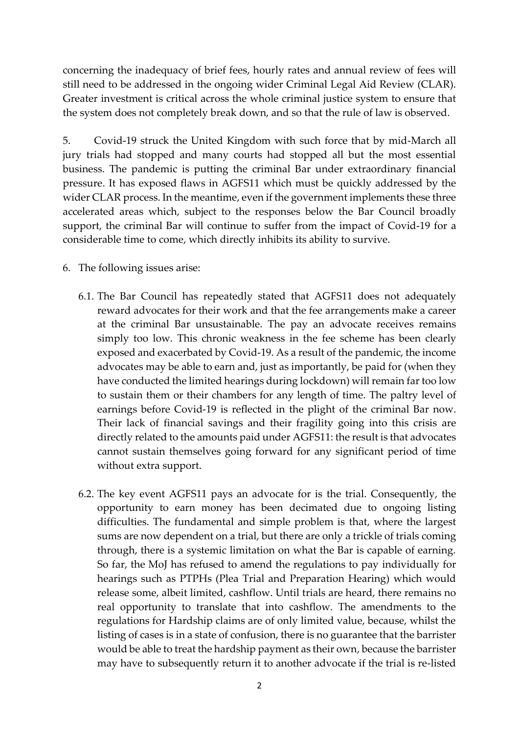concerning the inadequacy of brief fees, hourly rates and annual review of fees will still need to be addressed in the ongoing wider Criminal Legal Aid Review (CLAR). Greater investment is critical across the whole criminal justice system to ensure that the system does not completely break down, and so that the rule of law is observed.

5. Covid-19 struck the United Kingdom with such force that by mid-March all jury trials had stopped and many courts had stopped all but the most essential business. The pandemic is putting the criminal Bar under extraordinary financial pressure. It has exposed flaws in AGFS11 which must be quickly addressed by the wider CLAR process. In the meantime, even if the government implements these three accelerated areas which, subject to the responses below the Bar Council broadly support, the criminal Bar will continue to suffer from the impact of Covid-19 for a considerable time to come, which directly inhibits its ability to survive.

- 6. The following issues arise:
	- 6.1. The Bar Council has repeatedly stated that AGFS11 does not adequately reward advocates for their work and that the fee arrangements make a career at the criminal Bar unsustainable. The pay an advocate receives remains simply too low. This chronic weakness in the fee scheme has been clearly exposed and exacerbated by Covid-19. As a result of the pandemic, the income advocates may be able to earn and, just as importantly, be paid for (when they have conducted the limited hearings during lockdown) will remain far too low to sustain them or their chambers for any length of time. The paltry level of earnings before Covid-19 is reflected in the plight of the criminal Bar now. Their lack of financial savings and their fragility going into this crisis are directly related to the amounts paid under AGFS11: the result is that advocates cannot sustain themselves going forward for any significant period of time without extra support.
	- 6.2. The key event AGFS11 pays an advocate for is the trial. Consequently, the opportunity to earn money has been decimated due to ongoing listing difficulties. The fundamental and simple problem is that, where the largest sums are now dependent on a trial, but there are only a trickle of trials coming through, there is a systemic limitation on what the Bar is capable of earning. So far, the MoJ has refused to amend the regulations to pay individually for hearings such as PTPHs (Plea Trial and Preparation Hearing) which would release some, albeit limited, cashflow. Until trials are heard, there remains no real opportunity to translate that into cashflow. The amendments to the regulations for Hardship claims are of only limited value, because, whilst the listing of cases is in a state of confusion, there is no guarantee that the barrister would be able to treat the hardship payment as their own, because the barrister may have to subsequently return it to another advocate if the trial is re-listed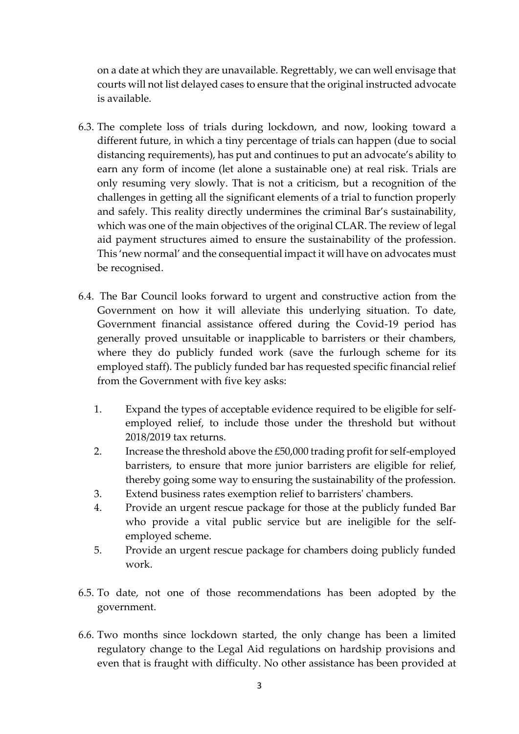on a date at which they are unavailable. Regrettably, we can well envisage that courts will not list delayed cases to ensure that the original instructed advocate is available.

- 6.3. The complete loss of trials during lockdown, and now, looking toward a different future, in which a tiny percentage of trials can happen (due to social distancing requirements), has put and continues to put an advocate's ability to earn any form of income (let alone a sustainable one) at real risk. Trials are only resuming very slowly. That is not a criticism, but a recognition of the challenges in getting all the significant elements of a trial to function properly and safely. This reality directly undermines the criminal Bar's sustainability, which was one of the main objectives of the original CLAR. The review of legal aid payment structures aimed to ensure the sustainability of the profession. This 'new normal' and the consequential impact it will have on advocates must be recognised.
- 6.4. The Bar Council looks forward to urgent and constructive action from the Government on how it will alleviate this underlying situation. To date, Government financial assistance offered during the Covid-19 period has generally proved unsuitable or inapplicable to barristers or their chambers, where they do publicly funded work (save the furlough scheme for its employed staff). The publicly funded bar has requested specific financial relief from the Government with five key asks:
	- 1. Expand the types of acceptable evidence required to be eligible for selfemployed relief, to include those under the threshold but without 2018/2019 tax returns.
	- 2. Increase the threshold above the £50,000 trading profit for self-employed barristers, to ensure that more junior barristers are eligible for relief, thereby going some way to ensuring the sustainability of the profession.
	- 3. Extend business rates exemption relief to barristers' chambers.
	- 4. Provide an urgent rescue package for those at the publicly funded Bar who provide a vital public service but are ineligible for the selfemployed scheme.
	- 5. Provide an urgent rescue package for chambers doing publicly funded work.
- 6.5. To date, not one of those recommendations has been adopted by the government.
- 6.6. Two months since lockdown started, the only change has been a limited regulatory change to the Legal Aid regulations on hardship provisions and even that is fraught with difficulty. No other assistance has been provided at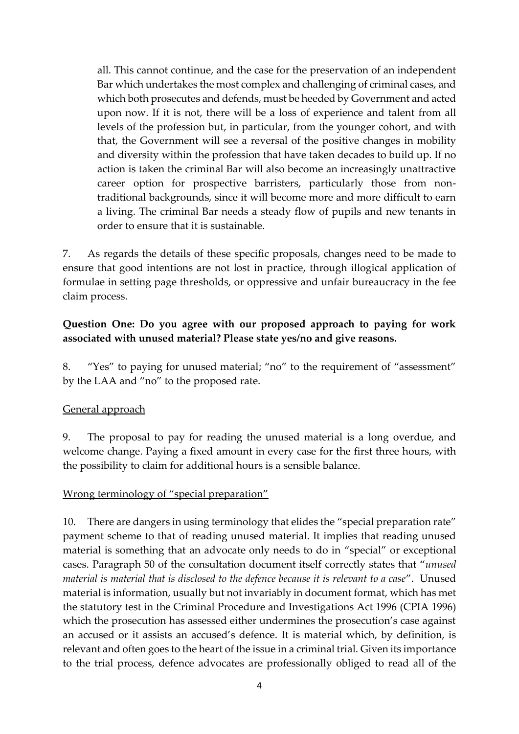all. This cannot continue, and the case for the preservation of an independent Bar which undertakes the most complex and challenging of criminal cases, and which both prosecutes and defends, must be heeded by Government and acted upon now. If it is not, there will be a loss of experience and talent from all levels of the profession but, in particular, from the younger cohort, and with that, the Government will see a reversal of the positive changes in mobility and diversity within the profession that have taken decades to build up. If no action is taken the criminal Bar will also become an increasingly unattractive career option for prospective barristers, particularly those from nontraditional backgrounds, since it will become more and more difficult to earn a living. The criminal Bar needs a steady flow of pupils and new tenants in order to ensure that it is sustainable.

7. As regards the details of these specific proposals, changes need to be made to ensure that good intentions are not lost in practice, through illogical application of formulae in setting page thresholds, or oppressive and unfair bureaucracy in the fee claim process.

#### **Question One: Do you agree with our proposed approach to paying for work associated with unused material? Please state yes/no and give reasons.**

8. "Yes" to paying for unused material; "no" to the requirement of "assessment" by the LAA and "no" to the proposed rate.

#### General approach

9. The proposal to pay for reading the unused material is a long overdue, and welcome change. Paying a fixed amount in every case for the first three hours, with the possibility to claim for additional hours is a sensible balance.

#### Wrong terminology of "special preparation"

10. There are dangers in using terminology that elides the "special preparation rate" payment scheme to that of reading unused material. It implies that reading unused material is something that an advocate only needs to do in "special" or exceptional cases. Paragraph 50 of the consultation document itself correctly states that "*unused material is material that is disclosed to the defence because it is relevant to a case*". Unused material is information, usually but not invariably in document format, which has met the statutory test in the Criminal Procedure and Investigations Act 1996 (CPIA 1996) which the prosecution has assessed either undermines the prosecution's case against an accused or it assists an accused's defence. It is material which, by definition, is relevant and often goes to the heart of the issue in a criminal trial. Given its importance to the trial process, defence advocates are professionally obliged to read all of the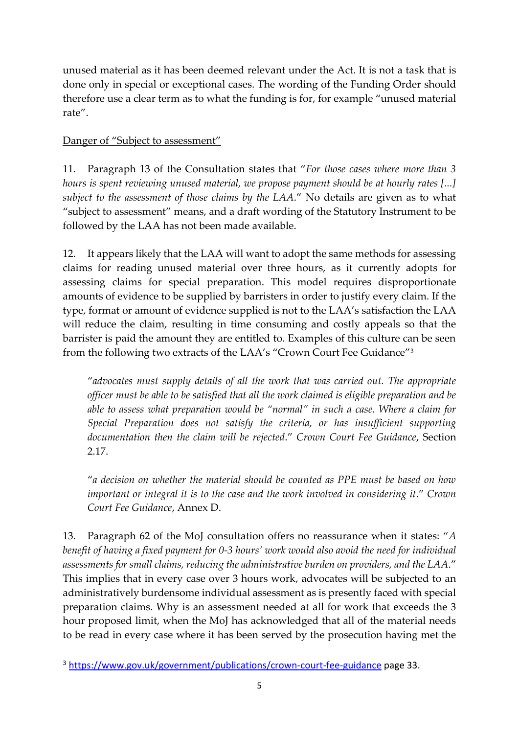unused material as it has been deemed relevant under the Act. It is not a task that is done only in special or exceptional cases. The wording of the Funding Order should therefore use a clear term as to what the funding is for, for example "unused material rate".

#### Danger of "Subject to assessment"

11. Paragraph 13 of the Consultation states that "*For those cases where more than 3 hours is spent reviewing unused material, we propose payment should be at hourly rates [...] subject to the assessment of those claims by the LAA*." No details are given as to what "subject to assessment" means, and a draft wording of the Statutory Instrument to be followed by the LAA has not been made available.

12. It appears likely that the LAA will want to adopt the same methods for assessing claims for reading unused material over three hours, as it currently adopts for assessing claims for special preparation. This model requires disproportionate amounts of evidence to be supplied by barristers in order to justify every claim. If the type, format or amount of evidence supplied is not to the LAA's satisfaction the LAA will reduce the claim, resulting in time consuming and costly appeals so that the barrister is paid the amount they are entitled to. Examples of this culture can be seen from the following two extracts of the LAA's "Crown Court Fee Guidance"<sup>3</sup>

"*advocates must supply details of all the work that was carried out. The appropriate officer must be able to be satisfied that all the work claimed is eligible preparation and be able to assess what preparation would be "normal" in such a case. Where a claim for Special Preparation does not satisfy the criteria, or has insufficient supporting documentation then the claim will be rejected*." *Crown Court Fee Guidance*, Section 2.17.

"*a decision on whether the material should be counted as PPE must be based on how important or integral it is to the case and the work involved in considering it.*" *Crown Court Fee Guidance*, Annex D.

13. Paragraph 62 of the MoJ consultation offers no reassurance when it states: "*A benefit of having a fixed payment for 0-3 hours' work would also avoid the need for individual assessments for small claims, reducing the administrative burden on providers, and the LAA*." This implies that in every case over 3 hours work, advocates will be subjected to an administratively burdensome individual assessment as is presently faced with special preparation claims. Why is an assessment needed at all for work that exceeds the 3 hour proposed limit, when the MoJ has acknowledged that all of the material needs to be read in every case where it has been served by the prosecution having met the

<sup>3</sup> <https://www.gov.uk/government/publications/crown-court-fee-guidance> page 33.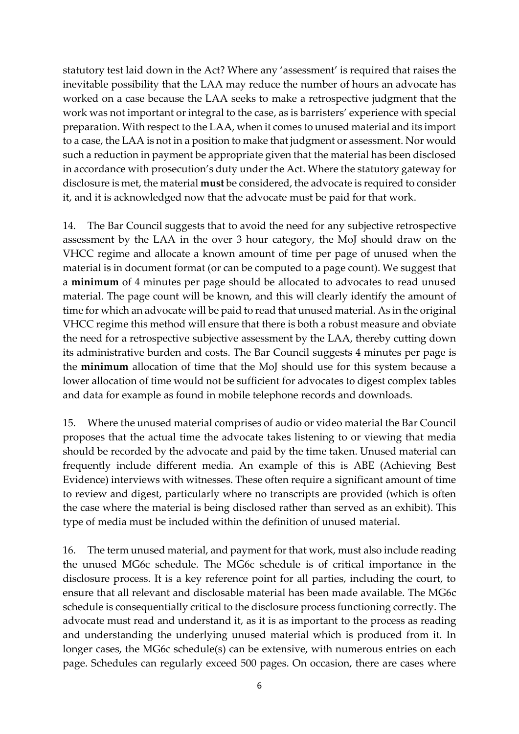statutory test laid down in the Act? Where any 'assessment' is required that raises the inevitable possibility that the LAA may reduce the number of hours an advocate has worked on a case because the LAA seeks to make a retrospective judgment that the work was not important or integral to the case, as is barristers' experience with special preparation. With respect to the LAA, when it comes to unused material and its import to a case, the LAA is not in a position to make that judgment or assessment. Nor would such a reduction in payment be appropriate given that the material has been disclosed in accordance with prosecution's duty under the Act. Where the statutory gateway for disclosure is met, the material **must** be considered, the advocate is required to consider it, and it is acknowledged now that the advocate must be paid for that work.

14. The Bar Council suggests that to avoid the need for any subjective retrospective assessment by the LAA in the over 3 hour category, the MoJ should draw on the VHCC regime and allocate a known amount of time per page of unused when the material is in document format (or can be computed to a page count). We suggest that a **minimum** of 4 minutes per page should be allocated to advocates to read unused material. The page count will be known, and this will clearly identify the amount of time for which an advocate will be paid to read that unused material. As in the original VHCC regime this method will ensure that there is both a robust measure and obviate the need for a retrospective subjective assessment by the LAA, thereby cutting down its administrative burden and costs. The Bar Council suggests 4 minutes per page is the **minimum** allocation of time that the MoJ should use for this system because a lower allocation of time would not be sufficient for advocates to digest complex tables and data for example as found in mobile telephone records and downloads.

15. Where the unused material comprises of audio or video material the Bar Council proposes that the actual time the advocate takes listening to or viewing that media should be recorded by the advocate and paid by the time taken. Unused material can frequently include different media. An example of this is ABE (Achieving Best Evidence) interviews with witnesses. These often require a significant amount of time to review and digest, particularly where no transcripts are provided (which is often the case where the material is being disclosed rather than served as an exhibit). This type of media must be included within the definition of unused material.

16. The term unused material, and payment for that work, must also include reading the unused MG6c schedule. The MG6c schedule is of critical importance in the disclosure process. It is a key reference point for all parties, including the court, to ensure that all relevant and disclosable material has been made available. The MG6c schedule is consequentially critical to the disclosure process functioning correctly. The advocate must read and understand it, as it is as important to the process as reading and understanding the underlying unused material which is produced from it. In longer cases, the MG6c schedule(s) can be extensive, with numerous entries on each page. Schedules can regularly exceed 500 pages. On occasion, there are cases where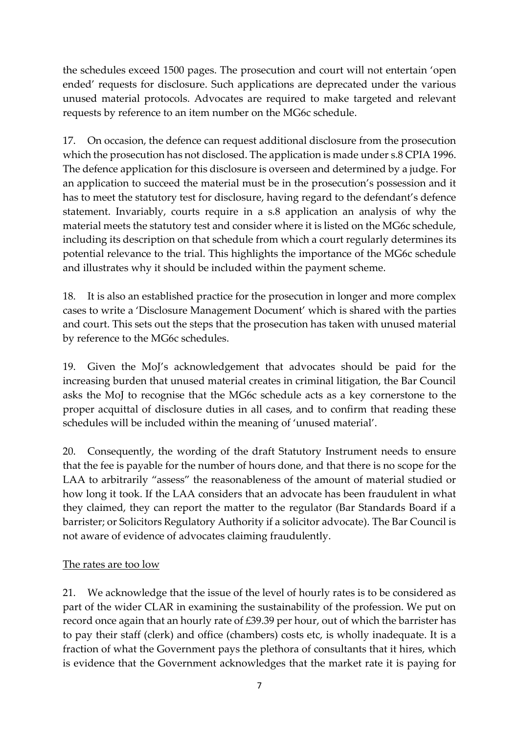the schedules exceed 1500 pages. The prosecution and court will not entertain 'open ended' requests for disclosure. Such applications are deprecated under the various unused material protocols. Advocates are required to make targeted and relevant requests by reference to an item number on the MG6c schedule.

17. On occasion, the defence can request additional disclosure from the prosecution which the prosecution has not disclosed. The application is made under s.8 CPIA 1996. The defence application for this disclosure is overseen and determined by a judge. For an application to succeed the material must be in the prosecution's possession and it has to meet the statutory test for disclosure, having regard to the defendant's defence statement. Invariably, courts require in a s.8 application an analysis of why the material meets the statutory test and consider where it is listed on the MG6c schedule, including its description on that schedule from which a court regularly determines its potential relevance to the trial. This highlights the importance of the MG6c schedule and illustrates why it should be included within the payment scheme.

18. It is also an established practice for the prosecution in longer and more complex cases to write a 'Disclosure Management Document' which is shared with the parties and court. This sets out the steps that the prosecution has taken with unused material by reference to the MG6c schedules.

19. Given the MoJ's acknowledgement that advocates should be paid for the increasing burden that unused material creates in criminal litigation, the Bar Council asks the MoJ to recognise that the MG6c schedule acts as a key cornerstone to the proper acquittal of disclosure duties in all cases, and to confirm that reading these schedules will be included within the meaning of 'unused material'.

20. Consequently, the wording of the draft Statutory Instrument needs to ensure that the fee is payable for the number of hours done, and that there is no scope for the LAA to arbitrarily "assess" the reasonableness of the amount of material studied or how long it took. If the LAA considers that an advocate has been fraudulent in what they claimed, they can report the matter to the regulator (Bar Standards Board if a barrister; or Solicitors Regulatory Authority if a solicitor advocate). The Bar Council is not aware of evidence of advocates claiming fraudulently.

## The rates are too low

21. We acknowledge that the issue of the level of hourly rates is to be considered as part of the wider CLAR in examining the sustainability of the profession. We put on record once again that an hourly rate of £39.39 per hour, out of which the barrister has to pay their staff (clerk) and office (chambers) costs etc, is wholly inadequate. It is a fraction of what the Government pays the plethora of consultants that it hires, which is evidence that the Government acknowledges that the market rate it is paying for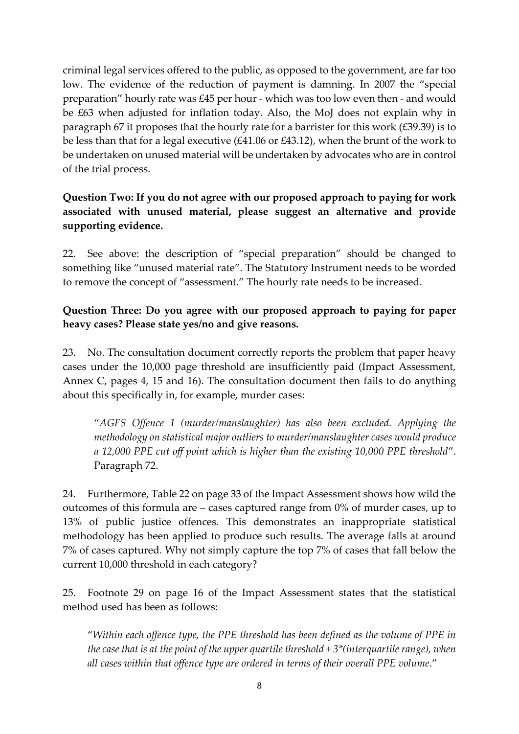criminal legal services offered to the public, as opposed to the government, are far too low. The evidence of the reduction of payment is damning. In 2007 the "special preparation" hourly rate was £45 per hour - which was too low even then - and would be £63 when adjusted for inflation today. Also, the MoJ does not explain why in paragraph 67 it proposes that the hourly rate for a barrister for this work (£39.39) is to be less than that for a legal executive (£41.06 or £43.12), when the brunt of the work to be undertaken on unused material will be undertaken by advocates who are in control of the trial process.

# **Question Two: If you do not agree with our proposed approach to paying for work associated with unused material, please suggest an alternative and provide supporting evidence.**

22. See above: the description of "special preparation" should be changed to something like "unused material rate". The Statutory Instrument needs to be worded to remove the concept of "assessment." The hourly rate needs to be increased.

## **Question Three: Do you agree with our proposed approach to paying for paper heavy cases? Please state yes/no and give reasons.**

23. No. The consultation document correctly reports the problem that paper heavy cases under the 10,000 page threshold are insufficiently paid (Impact Assessment, Annex C, pages 4, 15 and 16). The consultation document then fails to do anything about this specifically in, for example, murder cases:

"*AGFS Offence 1 (murder/manslaughter) has also been excluded. Applying the methodology on statistical major outliers to murder/manslaughter cases would produce a 12,000 PPE cut off point which is higher than the existing 10,000 PPE threshold*". Paragraph 72.

24. Furthermore, Table 22 on page 33 of the Impact Assessment shows how wild the outcomes of this formula are – cases captured range from 0% of murder cases, up to 13% of public justice offences. This demonstrates an inappropriate statistical methodology has been applied to produce such results. The average falls at around 7% of cases captured. Why not simply capture the top 7% of cases that fall below the current 10,000 threshold in each category?

25. Footnote 29 on page 16 of the Impact Assessment states that the statistical method used has been as follows:

"*Within each offence type, the PPE threshold has been defined as the volume of PPE in the case that is at the point of the upper quartile threshold + 3\*(interquartile range), when all cases within that offence type are ordered in terms of their overall PPE volume*."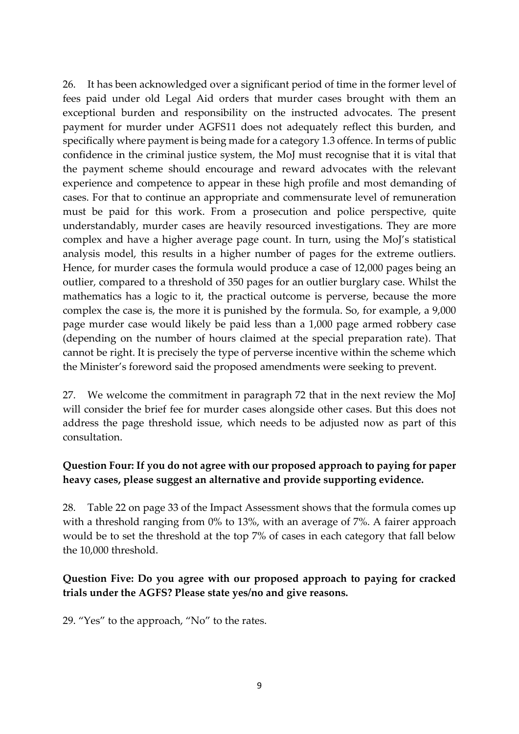26. It has been acknowledged over a significant period of time in the former level of fees paid under old Legal Aid orders that murder cases brought with them an exceptional burden and responsibility on the instructed advocates. The present payment for murder under AGFS11 does not adequately reflect this burden, and specifically where payment is being made for a category 1.3 offence. In terms of public confidence in the criminal justice system, the MoJ must recognise that it is vital that the payment scheme should encourage and reward advocates with the relevant experience and competence to appear in these high profile and most demanding of cases. For that to continue an appropriate and commensurate level of remuneration must be paid for this work. From a prosecution and police perspective, quite understandably, murder cases are heavily resourced investigations. They are more complex and have a higher average page count. In turn, using the MoJ's statistical analysis model, this results in a higher number of pages for the extreme outliers. Hence, for murder cases the formula would produce a case of 12,000 pages being an outlier, compared to a threshold of 350 pages for an outlier burglary case. Whilst the mathematics has a logic to it, the practical outcome is perverse, because the more complex the case is, the more it is punished by the formula. So, for example, a 9,000 page murder case would likely be paid less than a 1,000 page armed robbery case (depending on the number of hours claimed at the special preparation rate). That cannot be right. It is precisely the type of perverse incentive within the scheme which the Minister's foreword said the proposed amendments were seeking to prevent.

27. We welcome the commitment in paragraph 72 that in the next review the MoJ will consider the brief fee for murder cases alongside other cases. But this does not address the page threshold issue, which needs to be adjusted now as part of this consultation.

#### **Question Four: If you do not agree with our proposed approach to paying for paper heavy cases, please suggest an alternative and provide supporting evidence.**

28. Table 22 on page 33 of the Impact Assessment shows that the formula comes up with a threshold ranging from 0% to 13%, with an average of 7%. A fairer approach would be to set the threshold at the top 7% of cases in each category that fall below the 10,000 threshold.

#### **Question Five: Do you agree with our proposed approach to paying for cracked trials under the AGFS? Please state yes/no and give reasons.**

29. "Yes" to the approach, "No" to the rates.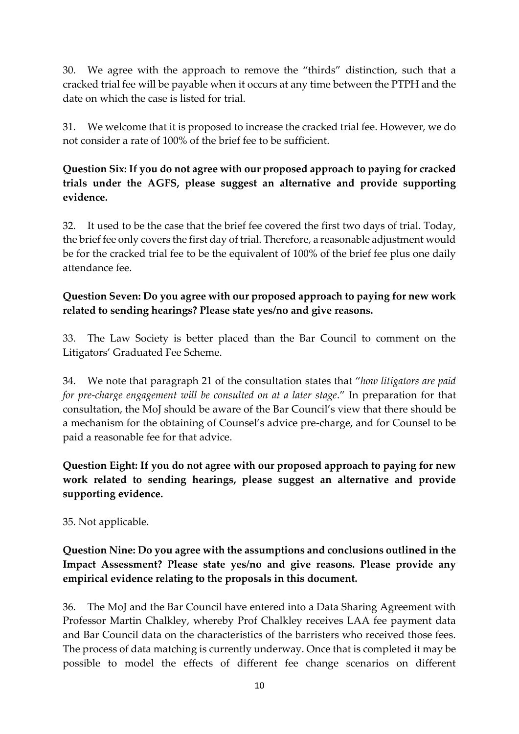30. We agree with the approach to remove the "thirds" distinction, such that a cracked trial fee will be payable when it occurs at any time between the PTPH and the date on which the case is listed for trial.

31. We welcome that it is proposed to increase the cracked trial fee. However, we do not consider a rate of 100% of the brief fee to be sufficient.

# **Question Six: If you do not agree with our proposed approach to paying for cracked trials under the AGFS, please suggest an alternative and provide supporting evidence.**

32. It used to be the case that the brief fee covered the first two days of trial. Today, the brief fee only covers the first day of trial. Therefore, a reasonable adjustment would be for the cracked trial fee to be the equivalent of 100% of the brief fee plus one daily attendance fee.

# **Question Seven: Do you agree with our proposed approach to paying for new work related to sending hearings? Please state yes/no and give reasons.**

33. The Law Society is better placed than the Bar Council to comment on the Litigators' Graduated Fee Scheme.

34. We note that paragraph 21 of the consultation states that "*how litigators are paid for pre-charge engagement will be consulted on at a later stage*." In preparation for that consultation, the MoJ should be aware of the Bar Council's view that there should be a mechanism for the obtaining of Counsel's advice pre-charge, and for Counsel to be paid a reasonable fee for that advice.

**Question Eight: If you do not agree with our proposed approach to paying for new work related to sending hearings, please suggest an alternative and provide supporting evidence.** 

35. Not applicable.

**Question Nine: Do you agree with the assumptions and conclusions outlined in the Impact Assessment? Please state yes/no and give reasons. Please provide any empirical evidence relating to the proposals in this document.** 

36. The MoJ and the Bar Council have entered into a Data Sharing Agreement with Professor Martin Chalkley, whereby Prof Chalkley receives LAA fee payment data and Bar Council data on the characteristics of the barristers who received those fees. The process of data matching is currently underway. Once that is completed it may be possible to model the effects of different fee change scenarios on different